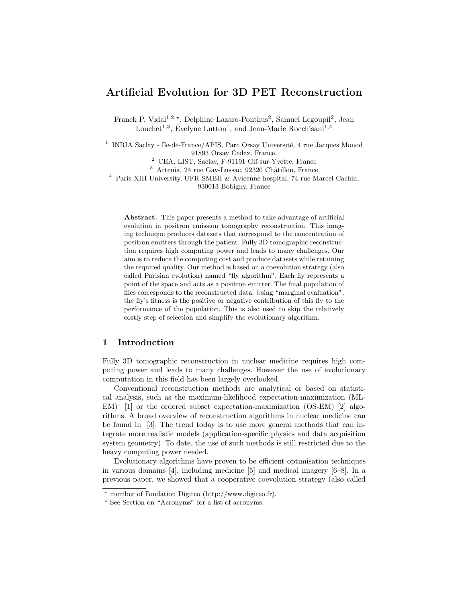# Artificial Evolution for 3D PET Reconstruction

Franck P. Vidal<sup>1,2,\*</sup>, Delphine Lazaro-Ponthus<sup>2</sup>, Samuel Legoupil<sup>2</sup>, Jean Louchet<sup>1,3</sup>, Évelyne Lutton<sup>1</sup>, and Jean-Marie Rocchisani<sup>1,4</sup>

<sup>1</sup> INRIA Saclay - Île-de-France/APIS, Parc Orsay Université, 4 rue Jacques Monod 91893 Orsay Cedex, France,

<sup>2</sup> CEA, LIST, Saclay, F-91191 Gif-sur-Yvette, France

<sup>3</sup> Artenia, 24 rue Gay-Lussac, 92320 Châtillon, France

<sup>4</sup> Paris XIII University, UFR SMBH & Avicenne hospital, 74 rue Marcel Cachin,

930013 Bobigny, France

Abstract. This paper presents a method to take advantage of artificial evolution in positron emission tomography reconstruction. This imaging technique produces datasets that correspond to the concentration of positron emitters through the patient. Fully 3D tomographic reconstruction requires high computing power and leads to many challenges. Our aim is to reduce the computing cost and produce datasets while retaining the required quality. Our method is based on a coevolution strategy (also called Parisian evolution) named "fly algorithm". Each fly represents a point of the space and acts as a positron emitter. The final population of flies corresponds to the reconstructed data. Using "marginal evaluation", the fly's fitness is the positive or negative contribution of this fly to the performance of the population. This is also used to skip the relatively costly step of selection and simplify the evolutionary algorithm.

# 1 Introduction

Fully 3D tomographic reconstruction in nuclear medicine requires high computing power and leads to many challenges. However the use of evolutionary computation in this field has been largely overlooked.

Conventional reconstruction methods are analytical or based on statistical analysis, such as the maximum-likelihood expectation-maximization (ML- $EM$ <sup>1</sup> [1] or the ordered subset expectation-maximization (OS-EM) [2] algorithms. A broad overview of reconstruction algorithms in nuclear medicine can be found in [3]. The trend today is to use more general methods that can integrate more realistic models (application-specific physics and data acquisition system geometry). To date, the use of such methods is still restricted due to the heavy computing power needed.

Evolutionary algorithms have proven to be efficient optimisation techniques in various domains [4], including medicine [5] and medical imagery [6–8]. In a previous paper, we showed that a cooperative coevolution strategy (also called

<sup>?</sup> member of Fondation Digiteo (http://www.digiteo.fr).

<sup>&</sup>lt;sup>1</sup> See Section on "Acronyms" for a list of acronyms.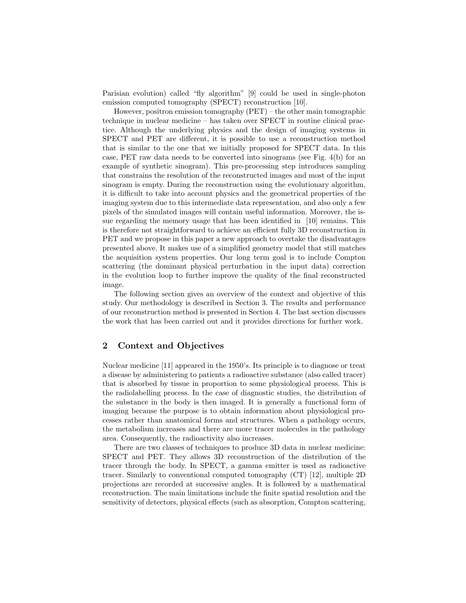Parisian evolution) called "fly algorithm" [9] could be used in single-photon emission computed tomography (SPECT) reconstruction [10].

However, positron emission tomography (PET) – the other main tomographic technique in nuclear medicine – has taken over SPECT in routine clinical practice. Although the underlying physics and the design of imaging systems in SPECT and PET are different, it is possible to use a reconstruction method that is similar to the one that we initially proposed for SPECT data. In this case, PET raw data needs to be converted into sinograms (see Fig. 4(b) for an example of synthetic sinogram). This pre-processing step introduces sampling that constrains the resolution of the reconstructed images and most of the input sinogram is empty. During the reconstruction using the evolutionary algorithm, it is difficult to take into account physics and the geometrical properties of the imaging system due to this intermediate data representation, and also only a few pixels of the simulated images will contain useful information. Moreover, the issue regarding the memory usage that has been identified in [10] remains. This is therefore not straightforward to achieve an efficient fully 3D reconstruction in PET and we propose in this paper a new approach to overtake the disadvantages presented above. It makes use of a simplified geometry model that still matches the acquisition system properties. Our long term goal is to include Compton scattering (the dominant physical perturbation in the input data) correction in the evolution loop to further improve the quality of the final reconstructed image.

The following section gives an overview of the context and objective of this study. Our methodology is described in Section 3. The results and performance of our reconstruction method is presented in Section 4. The last section discusses the work that has been carried out and it provides directions for further work.

# 2 Context and Objectives

Nuclear medicine [11] appeared in the 1950's. Its principle is to diagnose or treat a disease by administering to patients a radioactive substance (also called tracer) that is absorbed by tissue in proportion to some physiological process. This is the radiolabelling process. In the case of diagnostic studies, the distribution of the substance in the body is then imaged. It is generally a functional form of imaging because the purpose is to obtain information about physiological processes rather than anatomical forms and structures. When a pathology occurs, the metabolism increases and there are more tracer molecules in the pathology area. Consequently, the radioactivity also increases.

There are two classes of techniques to produce 3D data in nuclear medicine: SPECT and PET. They allows 3D reconstruction of the distribution of the tracer through the body. In SPECT, a gamma emitter is used as radioactive tracer. Similarly to conventional computed tomography (CT) [12], multiple 2D projections are recorded at successive angles. It is followed by a mathematical reconstruction. The main limitations include the finite spatial resolution and the sensitivity of detectors, physical effects (such as absorption, Compton scattering,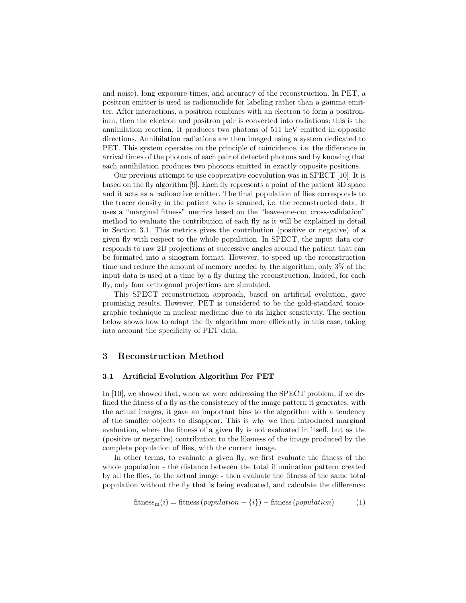and noise), long exposure times, and accuracy of the reconstruction. In PET, a positron emitter is used as radionuclide for labeling rather than a gamma emitter. After interactions, a positron combines with an electron to form a positronium, then the electron and positron pair is converted into radiations: this is the annihilation reaction. It produces two photons of 511 keV emitted in opposite directions. Annihilation radiations are then imaged using a system dedicated to PET. This system operates on the principle of coincidence, i.e. the difference in arrival times of the photons of each pair of detected photons and by knowing that each annihilation produces two photons emitted in exactly opposite positions.

Our previous attempt to use cooperative coevolution was in SPECT [10]. It is based on the fly algorithm [9]. Each fly represents a point of the patient 3D space and it acts as a radioactive emitter. The final population of flies corresponds to the tracer density in the patient who is scanned, i.e. the reconstructed data. It uses a "marginal fitness" metrics based on the "leave-one-out cross-validation" method to evaluate the contribution of each fly as it will be explained in detail in Section 3.1. This metrics gives the contribution (positive or negative) of a given fly with respect to the whole population. In SPECT, the input data corresponds to raw 2D projections at successive angles around the patient that can be formated into a sinogram format. However, to speed up the reconstruction time and reduce the amount of memory needed by the algorithm, only 3% of the input data is used at a time by a fly during the reconstruction. Indeed, for each fly, only four orthogonal projections are simulated.

This SPECT reconstruction approach, based on artificial evolution, gave promising results. However, PET is considered to be the gold-standard tomographic technique in nuclear medicine due to its higher sensitivity. The section below shows how to adapt the fly algorithm more efficiently in this case, taking into account the specificity of PET data.

# 3 Reconstruction Method

#### 3.1 Artificial Evolution Algorithm For PET

In [10], we showed that, when we were addressing the SPECT problem, if we defined the fitness of a fly as the consistency of the image pattern it generates, with the actual images, it gave an important bias to the algorithm with a tendency of the smaller objects to disappear. This is why we then introduced marginal evaluation, where the fitness of a given fly is not evaluated in itself, but as the (positive or negative) contribution to the likeness of the image produced by the complete population of flies, with the current image.

In other terms, to evaluate a given fly, we first evaluate the fitness of the whole population - the distance between the total illumination pattern created by all the flies, to the actual image - then evaluate the fitness of the same total population without the fly that is being evaluated, and calculate the difference:

$$
fitness_m(i) = fitness(population - \{i\}) - fitness(population)
$$
 (1)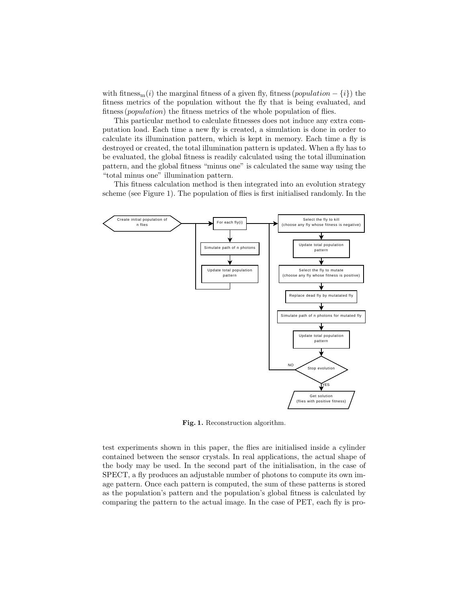with fitness<sub>m</sub>(i) the marginal fitness of a given fly, fitness (population –  $\{i\}$ ) the fitness metrics of the population without the fly that is being evaluated, and fitness (*population*) the fitness metrics of the whole population of flies.

This particular method to calculate fitnesses does not induce any extra computation load. Each time a new fly is created, a simulation is done in order to calculate its illumination pattern, which is kept in memory. Each time a fly is destroyed or created, the total illumination pattern is updated. When a fly has to be evaluated, the global fitness is readily calculated using the total illumination pattern, and the global fitness "minus one" is calculated the same way using the "total minus one" illumination pattern.

This fitness calculation method is then integrated into an evolution strategy scheme (see Figure 1). The population of flies is first initialised randomly. In the



Fig. 1. Reconstruction algorithm.

test experiments shown in this paper, the flies are initialised inside a cylinder contained between the sensor crystals. In real applications, the actual shape of the body may be used. In the second part of the initialisation, in the case of SPECT, a fly produces an adjustable number of photons to compute its own image pattern. Once each pattern is computed, the sum of these patterns is stored as the population's pattern and the population's global fitness is calculated by comparing the pattern to the actual image. In the case of PET, each fly is pro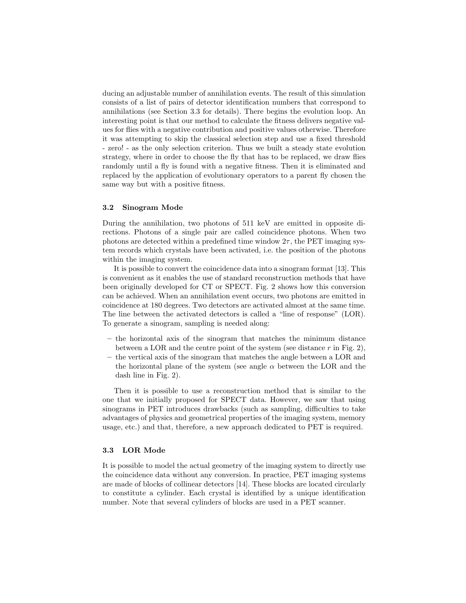ducing an adjustable number of annihilation events. The result of this simulation consists of a list of pairs of detector identification numbers that correspond to annihilations (see Section 3.3 for details). There begins the evolution loop. An interesting point is that our method to calculate the fitness delivers negative values for flies with a negative contribution and positive values otherwise. Therefore it was attempting to skip the classical selection step and use a fixed threshold - zero! - as the only selection criterion. Thus we built a steady state evolution strategy, where in order to choose the fly that has to be replaced, we draw flies randomly until a fly is found with a negative fitness. Then it is eliminated and replaced by the application of evolutionary operators to a parent fly chosen the same way but with a positive fitness.

#### 3.2 Sinogram Mode

During the annihilation, two photons of 511 keV are emitted in opposite directions. Photons of a single pair are called coincidence photons. When two photons are detected within a predefined time window  $2\tau$ , the PET imaging system records which crystals have been activated, i.e. the position of the photons within the imaging system.

It is possible to convert the coincidence data into a sinogram format [13]. This is convenient as it enables the use of standard reconstruction methods that have been originally developed for CT or SPECT. Fig. 2 shows how this conversion can be achieved. When an annihilation event occurs, two photons are emitted in coincidence at 180 degrees. Two detectors are activated almost at the same time. The line between the activated detectors is called a "line of response" (LOR). To generate a sinogram, sampling is needed along:

- the horizontal axis of the sinogram that matches the minimum distance between a LOR and the centre point of the system (see distance  $r$  in Fig. 2),
- the vertical axis of the sinogram that matches the angle between a LOR and the horizontal plane of the system (see angle  $\alpha$  between the LOR and the dash line in Fig. 2).

Then it is possible to use a reconstruction method that is similar to the one that we initially proposed for SPECT data. However, we saw that using sinograms in PET introduces drawbacks (such as sampling, difficulties to take advantages of physics and geometrical properties of the imaging system, memory usage, etc.) and that, therefore, a new approach dedicated to PET is required.

#### 3.3 LOR Mode

It is possible to model the actual geometry of the imaging system to directly use the coincidence data without any conversion. In practice, PET imaging systems are made of blocks of collinear detectors [14]. These blocks are located circularly to constitute a cylinder. Each crystal is identified by a unique identification number. Note that several cylinders of blocks are used in a PET scanner.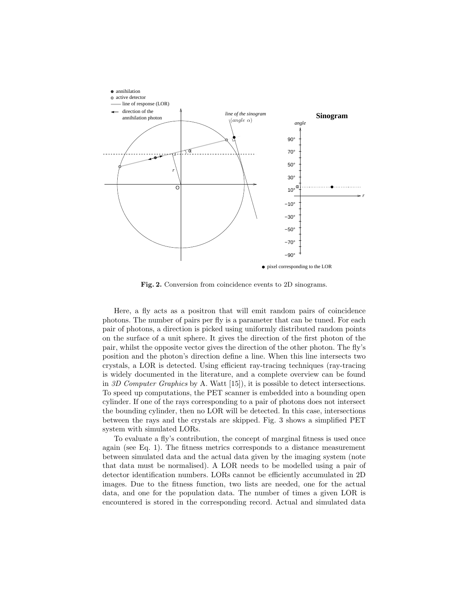

Fig. 2. Conversion from coincidence events to 2D sinograms.

Here, a fly acts as a positron that will emit random pairs of coincidence photons. The number of pairs per fly is a parameter that can be tuned. For each pair of photons, a direction is picked using uniformly distributed random points on the surface of a unit sphere. It gives the direction of the first photon of the pair, whilst the opposite vector gives the direction of the other photon. The fly's position and the photon's direction define a line. When this line intersects two crystals, a LOR is detected. Using efficient ray-tracing techniques (ray-tracing is widely documented in the literature, and a complete overview can be found in 3D Computer Graphics by A. Watt  $[15]$ , it is possible to detect intersections. To speed up computations, the PET scanner is embedded into a bounding open cylinder. If one of the rays corresponding to a pair of photons does not intersect the bounding cylinder, then no LOR will be detected. In this case, intersections between the rays and the crystals are skipped. Fig. 3 shows a simplified PET system with simulated LORs.

To evaluate a fly's contribution, the concept of marginal fitness is used once again (see Eq. 1). The fitness metrics corresponds to a distance measurement between simulated data and the actual data given by the imaging system (note that data must be normalised). A LOR needs to be modelled using a pair of detector identification numbers. LORs cannot be efficiently accumulated in 2D images. Due to the fitness function, two lists are needed, one for the actual data, and one for the population data. The number of times a given LOR is encountered is stored in the corresponding record. Actual and simulated data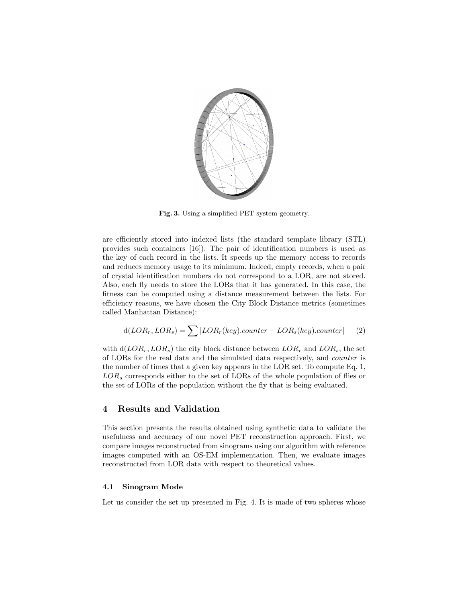

Fig. 3. Using a simplified PET system geometry.

are efficiently stored into indexed lists (the standard template library (STL) provides such containers [16]). The pair of identification numbers is used as the key of each record in the lists. It speeds up the memory access to records and reduces memory usage to its minimum. Indeed, empty records, when a pair of crystal identification numbers do not correspond to a LOR, are not stored. Also, each fly needs to store the LORs that it has generated. In this case, the fitness can be computed using a distance measurement between the lists. For efficiency reasons, we have chosen the City Block Distance metrics (sometimes called Manhattan Distance):

$$
d(LOR_r, LOR_s) = \sum |LOR_r(key).counter - LOR_s(key).counter| \qquad (2)
$$

with  $d(LOR_r, LOR_s)$  the city block distance between  $LOR_r$  and  $LOR_s$ , the set of LORs for the real data and the simulated data respectively, and counter is the number of times that a given key appears in the LOR set. To compute Eq. 1,  $LOR<sub>s</sub>$  corresponds either to the set of LORs of the whole population of flies or the set of LORs of the population without the fly that is being evaluated.

## 4 Results and Validation

This section presents the results obtained using synthetic data to validate the usefulness and accuracy of our novel PET reconstruction approach. First, we compare images reconstructed from sinograms using our algorithm with reference images computed with an OS-EM implementation. Then, we evaluate images reconstructed from LOR data with respect to theoretical values.

#### 4.1 Sinogram Mode

Let us consider the set up presented in Fig. 4. It is made of two spheres whose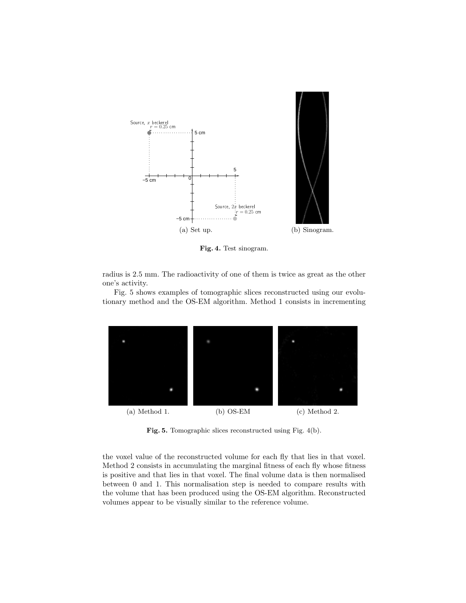

Fig. 4. Test sinogram.

radius is 2.5 mm. The radioactivity of one of them is twice as great as the other one's activity.

Fig. 5 shows examples of tomographic slices reconstructed using our evolutionary method and the OS-EM algorithm. Method 1 consists in incrementing



Fig. 5. Tomographic slices reconstructed using Fig. 4(b).

the voxel value of the reconstructed volume for each fly that lies in that voxel. Method 2 consists in accumulating the marginal fitness of each fly whose fitness is positive and that lies in that voxel. The final volume data is then normalised between 0 and 1. This normalisation step is needed to compare results with the volume that has been produced using the OS-EM algorithm. Reconstructed volumes appear to be visually similar to the reference volume.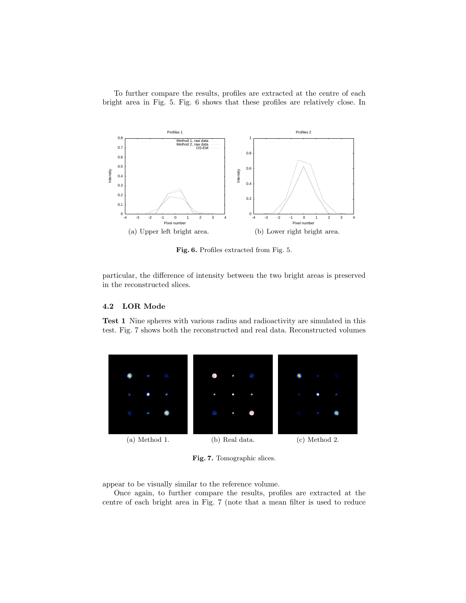To further compare the results, profiles are extracted at the centre of each bright area in Fig. 5. Fig. 6 shows that these profiles are relatively close. In



Fig. 6. Profiles extracted from Fig. 5.

particular, the difference of intensity between the two bright areas is preserved in the reconstructed slices.

## 4.2 LOR Mode

Test 1 Nine spheres with various radius and radioactivity are simulated in this test. Fig. 7 shows both the reconstructed and real data. Reconstructed volumes



Fig. 7. Tomographic slices.

appear to be visually similar to the reference volume.

Once again, to further compare the results, profiles are extracted at the centre of each bright area in Fig. 7 (note that a mean filter is used to reduce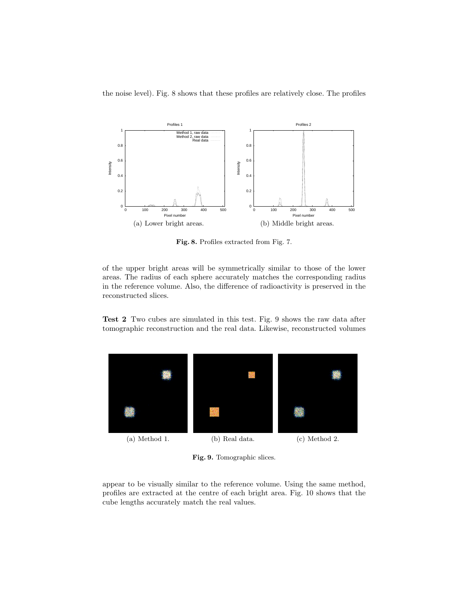the noise level). Fig. 8 shows that these profiles are relatively close. The profiles



Fig. 8. Profiles extracted from Fig. 7.

of the upper bright areas will be symmetrically similar to those of the lower areas. The radius of each sphere accurately matches the corresponding radius in the reference volume. Also, the difference of radioactivity is preserved in the reconstructed slices.

Test 2 Two cubes are simulated in this test. Fig. 9 shows the raw data after tomographic reconstruction and the real data. Likewise, reconstructed volumes



Fig. 9. Tomographic slices.

appear to be visually similar to the reference volume. Using the same method, profiles are extracted at the centre of each bright area. Fig. 10 shows that the cube lengths accurately match the real values.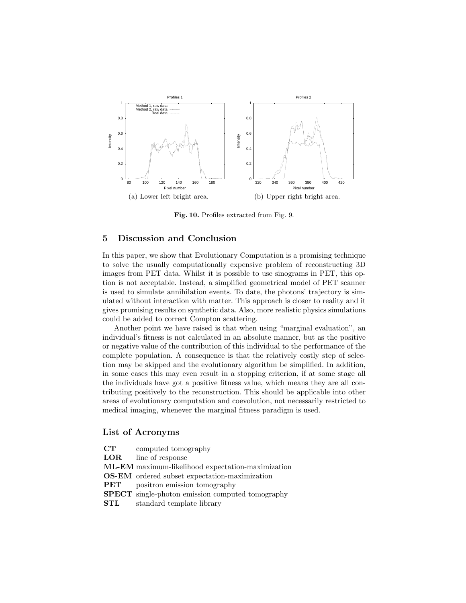

Fig. 10. Profiles extracted from Fig. 9.

# 5 Discussion and Conclusion

In this paper, we show that Evolutionary Computation is a promising technique to solve the usually computationally expensive problem of reconstructing 3D images from PET data. Whilst it is possible to use sinograms in PET, this option is not acceptable. Instead, a simplified geometrical model of PET scanner is used to simulate annihilation events. To date, the photons' trajectory is simulated without interaction with matter. This approach is closer to reality and it gives promising results on synthetic data. Also, more realistic physics simulations could be added to correct Compton scattering.

Another point we have raised is that when using "marginal evaluation", an individual's fitness is not calculated in an absolute manner, but as the positive or negative value of the contribution of this individual to the performance of the complete population. A consequence is that the relatively costly step of selection may be skipped and the evolutionary algorithm be simplified. In addition, in some cases this may even result in a stopping criterion, if at some stage all the individuals have got a positive fitness value, which means they are all contributing positively to the reconstruction. This should be applicable into other areas of evolutionary computation and coevolution, not necessarily restricted to medical imaging, whenever the marginal fitness paradigm is used.

## List of Acronyms

- CT computed tomography
- LOR line of response
- ML-EM maximum-likelihood expectation-maximization
- OS-EM ordered subset expectation-maximization
- **PET** positron emission tomography
- SPECT single-photon emission computed tomography
- STL standard template library